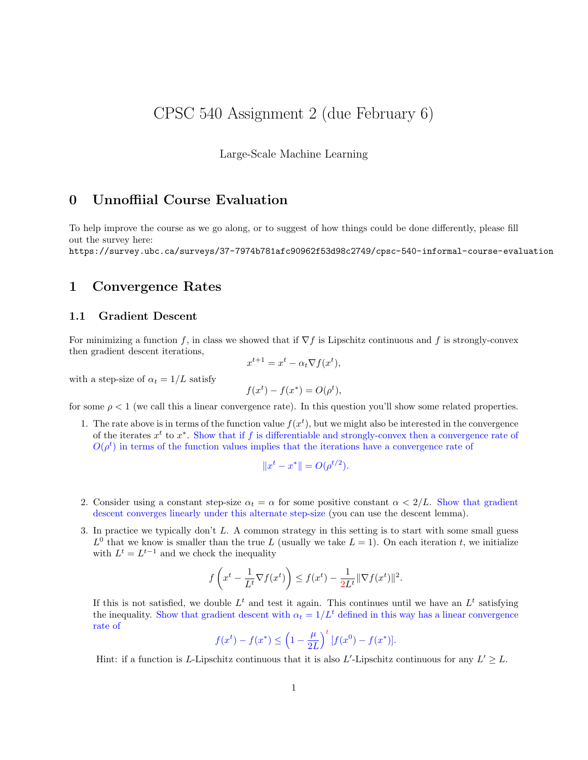# CPSC 540 Assignment 2 (due February 6)

Large-Scale Machine Learning

# 0 Unnoffiial Course Evaluation

To help improve the course as we go along, or to suggest of how things could be done differently, please fill out the survey here:

https://survey.ubc.ca/surveys/37-7974b781afc90962f53d98c2749/cpsc-540-informal-course-evaluation

# 1 Convergence Rates

## 1.1 Gradient Descent

For minimizing a function f, in class we showed that if  $\nabla f$  is Lipschitz continuous and f is strongly-convex then gradient descent iterations,

$$
x^{t+1} = x^t - \alpha_t \nabla f(x^t),
$$

with a step-size of  $\alpha_t = 1/L$  satisfy

$$
f(x^t) - f(x^*) = O(\rho^t),
$$

for some  $\rho < 1$  (we call this a linear convergence rate). In this question you'll show some related properties.

1. The rate above is in terms of the function value  $f(x^t)$ , but we might also be interested in the convergence of the iterates  $x^t$  to  $x^*$ . Show that if f is differentiable and strongly-convex then a convergence rate of  $O(\rho^t)$  in terms of the function values implies that the iterations have a convergence rate of

$$
||x^t - x^*|| = O(\rho^{t/2}).
$$

- 2. Consider using a constant step-size  $\alpha_t = \alpha$  for some positive constant  $\alpha < 2/L$ . Show that gradient descent converges linearly under this alternate step-size (you can use the descent lemma).
- 3. In practice we typically don't L. A common strategy in this setting is to start with some small guess  $L^0$  that we know is smaller than the true L (usually we take  $L = 1$ ). On each iteration t, we initialize with  $L^t = L^{t-1}$  and we check the inequality

$$
f\left(x^t - \frac{1}{L^t}\nabla f(x^t)\right) \le f(x^t) - \frac{1}{2L^t} \|\nabla f(x^t)\|^2.
$$

If this is not satisfied, we double  $L<sup>t</sup>$  and test it again. This continues until we have an  $L<sup>t</sup>$  satisfying the inequality. Show that gradient descent with  $\alpha_t = 1/L^t$  defined in this way has a linear convergence rate of

$$
f(x^{t}) - f(x^{*}) \le \left(1 - \frac{\mu}{2L}\right)^{t} \left[f(x^{0}) - f(x^{*})\right].
$$

Hint: if a function is L-Lipschitz continuous that it is also L'-Lipschitz continuous for any  $L' \geq L$ .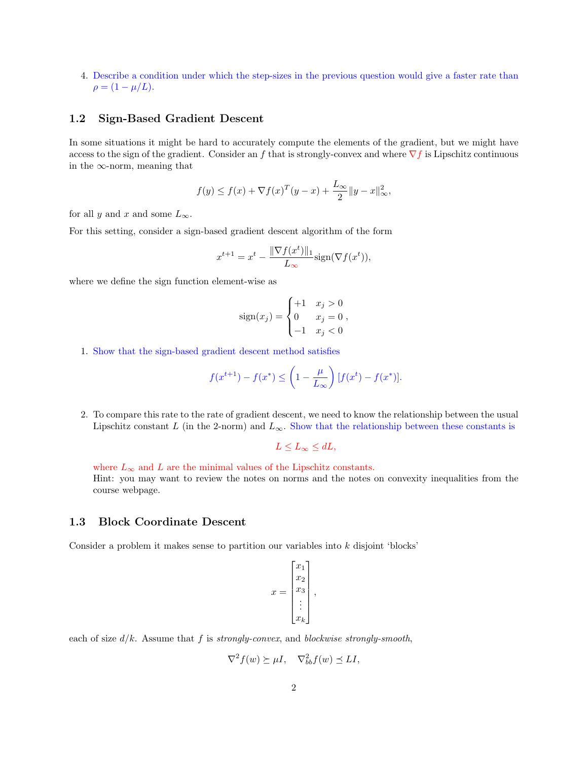4. Describe a condition under which the step-sizes in the previous question would give a faster rate than  $\rho = (1 - \mu/L).$ 

#### 1.2 Sign-Based Gradient Descent

In some situations it might be hard to accurately compute the elements of the gradient, but we might have access to the sign of the gradient. Consider an f that is strongly-convex and where  $\nabla f$  is Lipschitz continuous in the  $\infty$ -norm, meaning that

$$
f(y) \le f(x) + \nabla f(x)^T (y - x) + \frac{L_{\infty}}{2} ||y - x||_{\infty}^2,
$$

for all y and x and some  $L_{\infty}$ .

For this setting, consider a sign-based gradient descent algorithm of the form

$$
x^{t+1} = x^t - \frac{\|\nabla f(x^t)\|_1}{L_{\infty}} \text{sign}(\nabla f(x^t)),
$$

where we define the sign function element-wise as

$$
sign(x_j) = \begin{cases} +1 & x_j > 0\\ 0 & x_j = 0\\ -1 & x_j < 0 \end{cases}
$$

1. Show that the sign-based gradient descent method satisfies

$$
f(x^{t+1}) - f(x^*) \le \left(1 - \frac{\mu}{L_{\infty}}\right) [f(x^t) - f(x^*)].
$$

2. To compare this rate to the rate of gradient descent, we need to know the relationship between the usual Lipschitz constant L (in the 2-norm) and  $L_{\infty}$ . Show that the relationship between these constants is

 $L \le L_{\infty} \le dL,$ 

where  $L_{\infty}$  and L are the minimal values of the Lipschitz constants. Hint: you may want to review the notes on norms and the notes on convexity inequalities from the course webpage.

#### 1.3 Block Coordinate Descent

Consider a problem it makes sense to partition our variables into  $k$  disjoint 'blocks'

$$
x = \begin{bmatrix} x_1 \\ x_2 \\ x_3 \\ \vdots \\ x_k \end{bmatrix},
$$

each of size  $d/k$ . Assume that f is strongly-convex, and blockwise strongly-smooth,

$$
\nabla^2 f(w) \succeq \mu I, \quad \nabla^2_{bb} f(w) \preceq L I,
$$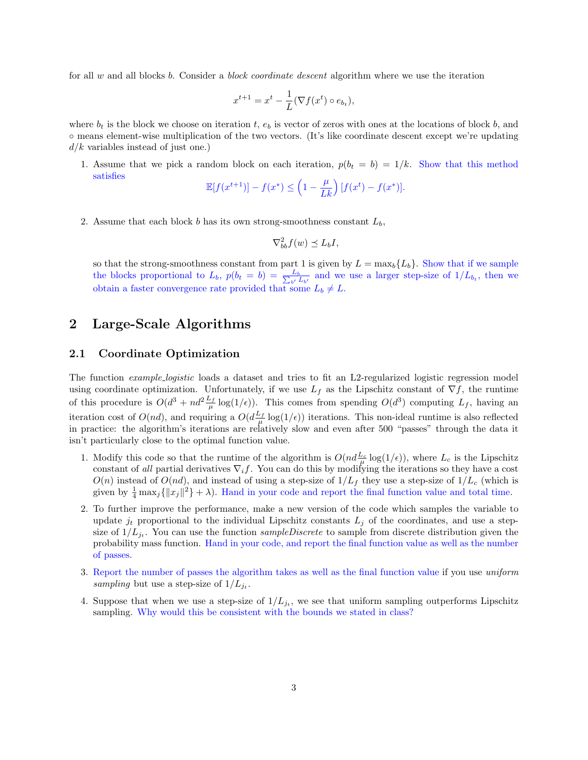for all w and all blocks b. Consider a *block coordinate descent* algorithm where we use the iteration

$$
x^{t+1} = x^t - \frac{1}{L} (\nabla f(x^t) \circ e_{b_t}),
$$

where  $b_t$  is the block we choose on iteration t,  $e_b$  is vector of zeros with ones at the locations of block b, and ◦ means element-wise multiplication of the two vectors. (It's like coordinate descent except we're updating  $d/k$  variables instead of just one.)

1. Assume that we pick a random block on each iteration,  $p(b_t = b) = 1/k$ . Show that this method satisfies

$$
\mathbb{E}[f(x^{t+1})] - f(x^*) \le \left(1 - \frac{\mu}{Lk}\right)[f(x^t) - f(x^*)].
$$

2. Assume that each block b has its own strong-smoothness constant  $L_b$ ,

$$
\nabla_{bb}^2 f(w) \preceq L_b I,
$$

so that the strong-smoothness constant from part 1 is given by  $L = \max_b \{L_b\}$ . Show that if we sample the blocks proportional to  $L_b$ ,  $p(b_t = b) = \frac{L_b}{\sum_{b'} L_{b'}}$  and we use a larger step-size of  $1/L_{b_t}$ , then we obtain a faster convergence rate provided that some  $L_b \neq L$ .

# 2 Large-Scale Algorithms

#### 2.1 Coordinate Optimization

The function *example logistic* loads a dataset and tries to fit an L2-regularized logistic regression model using coordinate optimization. Unfortunately, if we use  $L_f$  as the Lipschitz constant of  $\nabla f$ , the runtime of this procedure is  $O(d^3 + nd^2 \frac{L_f}{\mu} \log(1/\epsilon))$ . This comes from spending  $O(d^3)$  computing  $L_f$ , having an iteration cost of  $O(nd)$ , and requiring a  $O(d\frac{L_f}{\mu} \log(1/\epsilon))$  iterations. This non-ideal runtime is also reflected in practice: the algorithm's iterations are relatively slow and even after 500 "passes" through the data it isn't particularly close to the optimal function value.

- 1. Modify this code so that the runtime of the algorithm is  $O(nd\frac{L_c}{\mu} \log(1/\epsilon))$ , where  $L_c$  is the Lipschitz constant of all partial derivatives  $\nabla_i f$ . You can do this by modifying the iterations so they have a cost  $O(n)$  instead of  $O(nd)$ , and instead of using a step-size of  $1/L_f$  they use a step-size of  $1/L_c$  (which is given by  $\frac{1}{4} \max_j {\{|x_j|^2\}} + \lambda$ . Hand in your code and report the final function value and total time.
- 2. To further improve the performance, make a new version of the code which samples the variable to update  $j_t$  proportional to the individual Lipschitz constants  $L_j$  of the coordinates, and use a stepsize of  $1/L_{j_t}$ . You can use the function sampleDiscrete to sample from discrete distribution given the probability mass function. Hand in your code, and report the final function value as well as the number of passes.
- 3. Report the number of passes the algorithm takes as well as the final function value if you use uniform sampling but use a step-size of  $1/L_{j_t}$ .
- 4. Suppose that when we use a step-size of  $1/L_{jt}$ , we see that uniform sampling outperforms Lipschitz sampling. Why would this be consistent with the bounds we stated in class?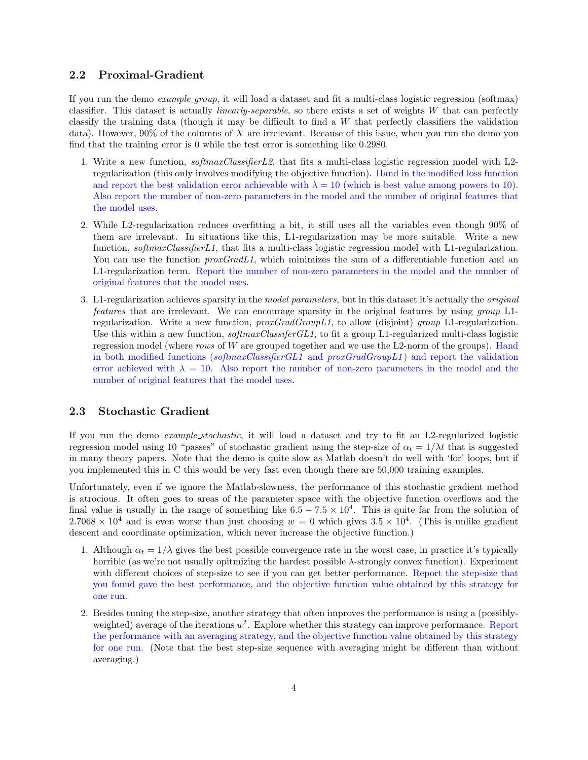## 2.2 Proximal-Gradient

If you run the demo example group, it will load a dataset and fit a multi-class logistic regression (softmax) classifier. This dataset is actually linearly-separable, so there exists a set of weights W that can perfectly classify the training data (though it may be difficult to find a W that perfectly classifiers the validation data). However, 90% of the columns of X are irrelevant. Because of this issue, when you run the demo you find that the training error is 0 while the test error is something like 0.2980.

- 1. Write a new function, softmaxClassifierL2, that fits a multi-class logistic regression model with L2 regularization (this only involves modifying the objective function). Hand in the modified loss function and report the best validation error achievable with  $\lambda = 10$  (which is best value among powers to 10). Also report the number of non-zero parameters in the model and the number of original features that the model uses.
- 2. While L2-regularization reduces overfitting a bit, it still uses all the variables even though 90% of them are irrelevant. In situations like this, L1-regularization may be more suitable. Write a new function, softmaxClassifierL1, that fits a multi-class logistic regression model with L1-regularization. You can use the function  $proxGradL1$ , which minimizes the sum of a differentiable function and an L1-regularization term. Report the number of non-zero parameters in the model and the number of original features that the model uses.
- 3. L1-regularization achieves sparsity in the model parameters, but in this dataset it's actually the original features that are irrelevant. We can encourage sparsity in the original features by using group L1 regularization. Write a new function,  $proxGradGroupL1$ , to allow (disjoint) group L1-regularization. Use this within a new function,  $softmaxClassiferGL1$ , to fit a group L1-regularized multi-class logistic regression model (where rows of W are grouped together and we use the L2-norm of the groups). Hand in both modified functions (softmaxClassifierGL1 and  $proxGradGroupL1$ ) and report the validation error achieved with  $\lambda = 10$ . Also report the number of non-zero parameters in the model and the number of original features that the model uses.

## 2.3 Stochastic Gradient

If you run the demo *example\_stochastic*, it will load a dataset and try to fit an L2-regularized logistic regression model using 10 "passes" of stochastic gradient using the step-size of  $\alpha_t = 1/\lambda t$  that is suggested in many theory papers. Note that the demo is quite slow as Matlab doesn't do well with 'for' loops, but if you implemented this in C this would be very fast even though there are 50,000 training examples.

Unfortunately, even if we ignore the Matlab-slowness, the performance of this stochastic gradient method is atrocious. It often goes to areas of the parameter space with the objective function overflows and the final value is usually in the range of something like  $6.5 - 7.5 \times 10^4$ . This is quite far from the solution of  $2.7068 \times 10^4$  and is even worse than just choosing  $w = 0$  which gives  $3.5 \times 10^4$ . (This is unlike gradient descent and coordinate optimization, which never increase the objective function.)

- 1. Although  $\alpha_t = 1/\lambda$  gives the best possible convergence rate in the worst case, in practice it's typically horrible (as we're not usually opitmizing the hardest possible  $\lambda$ -strongly convex function). Experiment with different choices of step-size to see if you can get better performance. Report the step-size that you found gave the best performance, and the objective function value obtained by this strategy for one run.
- 2. Besides tuning the step-size, another strategy that often improves the performance is using a (possiblyweighted) average of the iterations  $w^t$ . Explore whether this strategy can improve performance. Report the performance with an averaging strategy, and the objective function value obtained by this strategy for one run. (Note that the best step-size sequence with averaging might be different than without averaging.)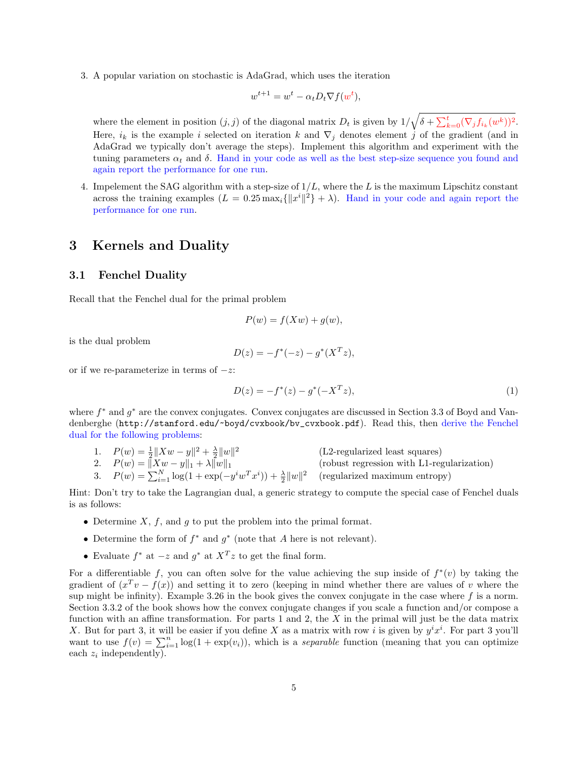3. A popular variation on stochastic is AdaGrad, which uses the iteration

$$
w^{t+1} = w^t - \alpha_t D_t \nabla f(w^t),
$$

where the element in position  $(j, j)$  of the diagonal matrix  $D_t$  is given by  $1/\sqrt{\delta + \sum_{k=0}^t (\nabla_j f_{i_k}(w^k))^2}$ . Here,  $i_k$  is the example i selected on iteration k and  $\nabla_i$  denotes element j of the gradient (and in AdaGrad we typically don't average the steps). Implement this algorithm and experiment with the tuning parameters  $\alpha_t$  and  $\delta$ . Hand in your code as well as the best step-size sequence you found and again report the performance for one run.

4. Impelement the SAG algorithm with a step-size of  $1/L$ , where the L is the maximum Lipschitz constant across the training examples  $(L = 0.25 \max_i \{||x^i||^2\} + \lambda)$ . Hand in your code and again report the performance for one run.

## 3 Kernels and Duality

#### 3.1 Fenchel Duality

Recall that the Fenchel dual for the primal problem

$$
P(w) = f(Xw) + g(w),
$$

is the dual problem

$$
D(z) = -f^*(-z) - g^*(X^T z),
$$

or if we re-parameterize in terms of  $-z$ :

$$
D(z) = -f^*(z) - g^*(-X^T z),\tag{1}
$$

where  $f^*$  and  $g^*$  are the convex conjugates. Convex conjugates are discussed in Section 3.3 of Boyd and Vandenberghe (http://stanford.edu/~boyd/cvxbook/bv\_cvxbook.pdf). Read this, then derive the Fenchel dual for the following problems:

- 1.  $P(w) = \frac{1}{2} ||Xw y||^2 + \frac{\lambda}{2} ||w||^2$  (L2-regularized least squares) 2.  $P(w) = ||Xw - y||_1 + \lambda ||w||_1$  (robust regression with L1-regularization)
- 3.  $P(w) = \sum_{i=1}^{N} \log(1 + \exp(-y^i w^T x^i)) + \frac{\lambda}{2} ||w||^2$  (regularized maximum entropy)

Hint: Don't try to take the Lagrangian dual, a generic strategy to compute the special case of Fenchel duals is as follows:

- Determine  $X, f$ , and  $g$  to put the problem into the primal format.
- Determine the form of  $f^*$  and  $g^*$  (note that A here is not relevant).
- Evaluate  $f^*$  at  $-z$  and  $g^*$  at  $X^T z$  to get the final form.

For a differentiable f, you can often solve for the value achieving the sup inside of  $f^*(v)$  by taking the gradient of  $(x^T v - f(x))$  and setting it to zero (keeping in mind whether there are values of v where the sup might be infinity). Example 3.26 in the book gives the convex conjugate in the case where  $f$  is a norm. Section 3.3.2 of the book shows how the convex conjugate changes if you scale a function and/or compose a function with an affine transformation. For parts 1 and 2, the  $X$  in the primal will just be the data matrix X. But for part 3, it will be easier if you define X as a matrix with row i is given by  $y^i x^i$ . For part 3 you'll want to use  $f(v) = \sum_{i=1}^{n} \log(1 + \exp(v_i))$ , which is a *separable* function (meaning that you can optimize each  $z_i$  independently).